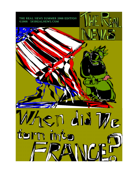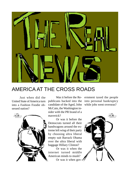

## AMERICA AT THE CROSS ROADS

Just when did the United State of America turn into a Fashion Foodie obsessed nation?



candidate of the Aged, John while jobs went overseas? McCain, the Washington insider with the PR brand of a maverick?

Or was it before the Democrats turned all their bandwagons around the extreme left wing of their party by choosing ultra liberal empty suit Barrack Obama over the ultra liberal with baggage Hillary Clinton?

Or was it when the internet turned middle American minds to mush?

Or was it when gov-

Was it before the Re-ernment taxed the people publicans backed into the into personal bankruptcy

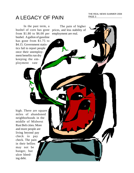THE REAL NEWS SUMMER 2008 PAGE 3

The pain of higher

prices, and less stability of

employment are real.

# A LEGACY OF PAIN

In the past term, a bushel of corn has gone from \$1.80 to \$6.00 per bushel. A gallon of gasoline has gone from \$1.75 to \$4.15. Government statistics fail to report people once their unemployment benefits run dry keeping the employment rate

high. There are square miles of abandoned neighborhoods in the middle of Midwest Rust Belt cities. More and more people are living beyond pay check to pay check. The pain in their bellies may not be hunger, but ulcer bleeding debt.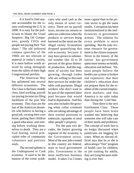It is hard to find anyone accountable for the issues confronting the U.S. in 2008. It is easy for the politicians to blame the Usual Suspects: Big Oil Companies, greedy CEOs and people not paying their "fair share." The old yellowed campus speeches of the 1960s are not relevant or material in today's society. It is mere hollow words uttered by smug demigods from the safety of their high Congressional perches.

The American Way has splintered into several different economies. The Tax Class is the basic middle class, hard working, payroll tax paying income tax filing backbone of the post War economy. This class are the last of the American dreamers who believe in having a good job, owning their own home, getting their children a good education, and retiring before working themselves to death. They are a God fearing, moral principled tribe of community volunteers and patriotic souls.

The second splinter is the Underground or Cash economy. It used to be the bastion of the crime syndicates who used cash as the only means of street currency. There are no payroll taxes, income tax returns or sales tax collection when the products or services being bartered on the street are the illegal variety. Economists dropped quantifying this sub-economy because it may have grown to substantial number like 10 to 20 percent of the gross domestic production. And this segment of society has been growing; through trades who are willing to discount their services for under-thetable cash payments. Illegal workers who don't want to be part of the reported labor pool because that would lead to deportation. And this area also includes the growing white collar criminals who are taking advantage of their trusted positions to embezzle, squander or steal other people's property.

For the past two decades, the fastest growing segment of the economy is the Government sector. Most of the new jobs created in this country are federal, state or local government jobs. Government is the most inefficient business model. It takes 3 to 5 times more capital than in the private sector to get the same results. Corruption has been institutionalized in the inefficiencies in government actions. The solution for every problem is more spending. But the only revenue resource for government is the citizen-taxpayer. Never in the history of the nation has government spent more money on health, education and defense. Yet, most people believe the health care system is broken and expensive; that their children's education does not prepare them for the realities of the current employment markets; and that America is no safer today than during the Cold War.

Then there is the new Entitlement Class. These people have been brain washed into believing that someone else will take care of their needs and problems. The concept of work fare is no longer discussed when politicians are begging for votes. When an elected official says that he or she is advocating a "free" program of health care for children, or job training for adults, they are lying because nothing is ever free.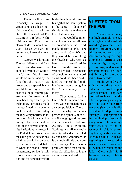There is a final class in society, The Fringe. This group composes those individuals or Outcasts who are above the threshold of Entitlement but below the middle class. This group also includes the new Immigrant classes who are not assimilated into mainstream culture.

George Washington, Thomas Jefferson and Benjamin Franklin would be appalled by today's State of the Union. Washington would be impressed by the fact that the nation had grown and prospered, but he would be outraged at the cost of a huge central government. Jefferson would have been impressed by the technology advances made through American ingenuity, but he would be disturbed by the regulatory barriers to innovation. Franklin would be outraged by the nationalization of the private community institutions he created in the Philadelphia private sector (like public education). All three would be confused by the nonsensical debates of what the Second Amendment means; a citizen's right to keep weapons for protection and for personal welfare

is absolute. It would be confusing that the Court system is the center of debate of simple words rather than the town hall meetings.

They would be interested in the fact that all men are created equal has freed mankind from color barriers after a horrific Civil War, but they would be scratching their heads on why race has been institutionalized in Court remedies since the War had ended. The concept of principle, a man's word as his bond, has been so diluted that none of the founding fathers would recognize their American way of life today.

They would find a United States in name only. There were no such thing as a career politician. There is no reason why politicians preach to segments of society like judging various produce in a market; Latinos, Asians, Blacks, Women, Students are all narrowly stereotyped and never called by one name, Americans. It is a simple divide and conquer strategy. Each class is promised more than an another classification so in the end no class is ahead.

#### **A LETTER FROM THE PUB**

A nation of whiners, who high unemployment, a growing laisse faire attitude toward big government entitlement programs, with a falling reputation, forced part time employees, high labor costs, artificial cost structures, high taxes, and a growing angry underclass of new immigrants. The Country? France, for the better part of two decades.

But the United States s falling into the same socialist, second world import status as France. People are shocked to learn that the U.S. is importing a vast portion of its staple foods from overseas (it usually is disclosed in food poisoning warnings). A large portion of the medical profession is being imported from foreign countries. Most of the investment in U.S. debt (treasury bonds) has been foreign sovereign nations (which are beginning to turn to other investments in Europe and oil, which is weakening the dollar). C'est la vie? Not if the American way of life is at stake.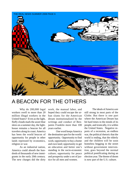

## A BEACON FOR THE OTHERS

Why do 200,000 legal workers swell to more than 20 million illegal workers in the United States? Even as the light, fluffy clouds mark the azure blue skies on a summer day, the lighthouse remains a beacon for all travelers along its coast. America has been the world beacon of opportunity for people in other lands repressed by economics, religion or war.

As an industrial nation, America could absorb the hundreds of thousands of new immigrants in the early 20th century. The new charges did the dirty

work, the manual labor, and hoped they could escape the urban slums for the American dream institutionalized by the writings and conduct of Benjamin Franklin more than 100 years earlier.

One word keeps America the destination spot for the world: opportunity. Opportunity to find work; opportunity to buy a home and own land; opportunity to get an education and better one's standing in the socio-economic culture; opportunity for peace and prosperity under a set of justice for all men and women.

The ideals of America are still strong in most parts of the Globe. But there is one part where the American Dream has hit hard times in the minds of its people, and ironically, it is within the United States. Negative reports of a recession, an endless war, the political rhetoric that the world is ending, that the elderly and the children will be soon homeless begging in the street without government intervention, goes beyond the normal political pontificating during an election year. The theme of doom is now part of the U.S. culture.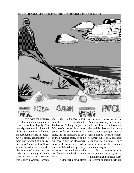THE REAL NEWS SUMMER 2008 PAGE 7THE REAL NEWS SUMMER 2008 PAGE 4



Even with the negative press, the immigrants continue to cross the borders illegally. The central government has lost track of the exact number of foreigners occupying places in society, but it is clearly assumed that it is more than the standing armies of the United States military. It was a quiet invasion and slow displacement of the American underclasses into a generational poverty class. When a Walmart tries to open in Chicago, there are

more than 10,000 local applicants for the jobs. But when the leaders of Chicago object to Walmart's non-union labor policy, Walmart never opens its store, and the applicants go back to their welfare state. In some aspects of American life, Americans are being as repressed in their individual and property rights as those immigrants who are fleeing their land to come here.

So the trickle down effect

of de-industrialization of the American economy, and the high influx of cheap labor, has turned the middle class worker into a strip center shopkeep in order to get a paycheck when the unemployment runs out. A paycheck, as an owner of a business, which may be less than his worker's minimum wages.

In an economy now dominated by part time, service employment and a bubble financial system, opportunities to suc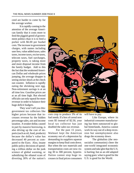ceed are harder to come by for the average worker.

It is rapidly coming to the attention of the average American family that it costs more to feed the piggish greed of government politics than it is to feed a porker with \$6.00 per bushel corn. The increase in government charges, with names including user fees, value added taxes, sales taxes, income taxes, excise taxes, telecom taxes, fuel surcharges, property taxes, is taking more and more disposal income from the family budget. Add to this the fact that the weakened American Dollar and wholesale prices jumping, the average shopper is seeing sticker shock at the check out counter. Inflation is rapidly eating the shrinking nest egg. Non-retirement savings is at an all time low. Gasoline prices are at an all time high. But elected officials can only squeal for more revenue in order to balance their huge deficit budgets.

They won't tell you this: government tax collectors like higher prices because that increases revenue by the hidden percentage sales, use and income taxation. A weaker dollar, caused in part by massive borrowing, is also driving up the cost of imports (such as oil, food, products) because the dollar's value has decreased 40 percent as compared to the Euro. Also, insane public policy decisions of spending a trillion dollar on the junk science of global warming, or subsidizing the ethanol scam of diverting 30% of the nation's



corn crop to produce 3% of its fuel needs. If a box of cereal now costs \$5 instead of \$2.50, your local tax collector has just doubled the sales tax revenue.

For the past 15 years, Walmart kept the American economy out of a depression by demanding its suppliers squeeze margins to keep final costs down. But when the raw materials and transportation costs are now rising 30 to 300 percent, hyperinflation cannot stop huge increases in final prices consumers

will have to pay.

Like Europe, where its industrial consumer manufacturing has been outsourced to global hinterlands, America cannot work its way out of a deep recession but unemployment also drags the economy down.

The globalists (the neosocialist communists) cheer the one-world integrated economic system and take glee that the U.S. is hurting; but as an old adapted saying goes: what is good for the U.S. is good for the World.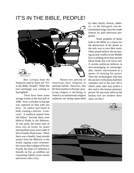## IT'S IN THE BIBLE, PEOPLE!



Rev. Lovejoy from *the Simpsons* used to shout out "It's in the Bible, People!" When the end seemingly was coming to Springfield.

There have been some strange events in the first half of 2008. First, a red deer in Europe was captured on film with one horn. Its antlers had fused at birth, creating a unicorn. A unicorn? A mythical animal from old fables? Second, there were biblical floods in the Midwest. At one point, the entire state of Iowa was an ocean. Its major metropolitan areas were under 9 feet of murky flood water. Third, there was a deadly, long tornado season from the Midwest to the South, ripping a part communities worse than a plague of locust. Fourth, the State of California is literally on fire, as wildfires are consuming fabled ocean resorts and towns with a fury.

Ninety-two percent of Americans have religious or spiritual beliefs. However, like the forecountries in Europe, practicing religion is declining in America as institutional religion traditions are being superceded by other family choices, athletics or the feel-good, non-denomination mega churches made famous by paid television programs.

Some prophets of doom look to the Bible as a source for the destruction of the planet as the only way to save their souls. Other people believe the increasing nuclear conflict in the Middle East is nothing more than ancient blood feuds that will never end. A secular politician believes in micromanaging an unmanageable, chaotic macrosystem as a means of securing his power. Then the archeologists find that the ancient civilizations had their calendars end in the year 2012, which some state may predict a dire end to this human planetary period. No one truly believes the human race are modern dinosaurs, do they?